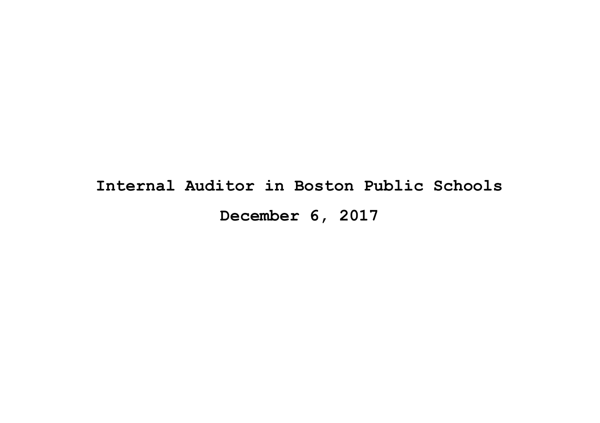# **Internal Auditor in Boston Public Schools December 6, 2017**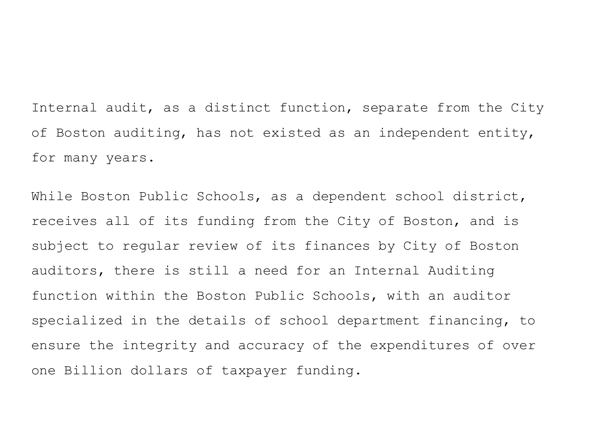Internal audit, as a distinct function, separate from the City of Boston auditing, has not existed as an independent entity, for many years.

While Boston Public Schools, as a dependent school district, receives all of its funding from the City of Boston, and is subject to regular review of its finances by City of Boston auditors, there is still a need for an Internal Auditing function within the Boston Public Schools, with an auditor specialized in the details of school department financing, to ensure the integrity and accuracy of the expenditures of over one Billion dollars of taxpayer funding.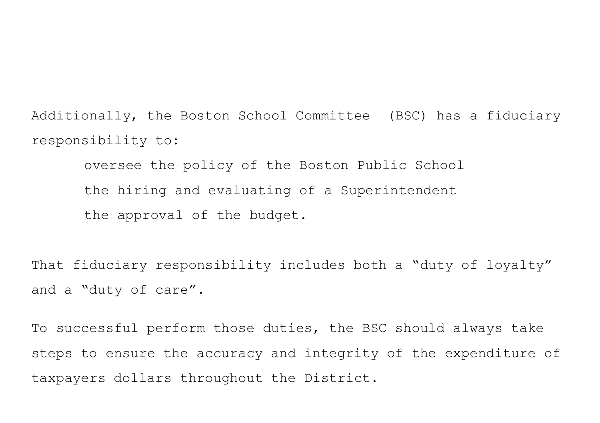Additionally, the Boston School Committee (BSC) has a fiduciary responsibility to:

oversee the policy of the Boston Public School the hiring and evaluating of a Superintendent the approval of the budget.

That fiduciary responsibility includes both a "duty of loyalty" and a "duty of care".

To successful perform those duties, the BSC should always take steps to ensure the accuracy and integrity of the expenditure of taxpayers dollars throughout the District.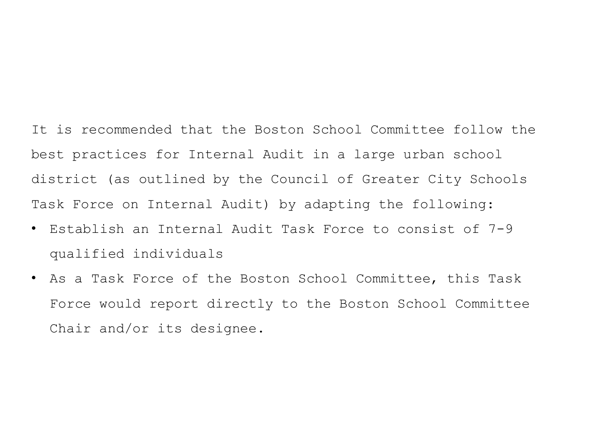It is recommended that the Boston School Committee follow the best practices for Internal Audit in a large urban school district (as outlined by the Council of Greater City Schools Task Force on Internal Audit) by adapting the following:

- Establish an Internal Audit Task Force to consist of 7-9 qualified individuals
- As a Task Force of the Boston School Committee, this Task Force would report directly to the Boston School Committee Chair and/or its designee.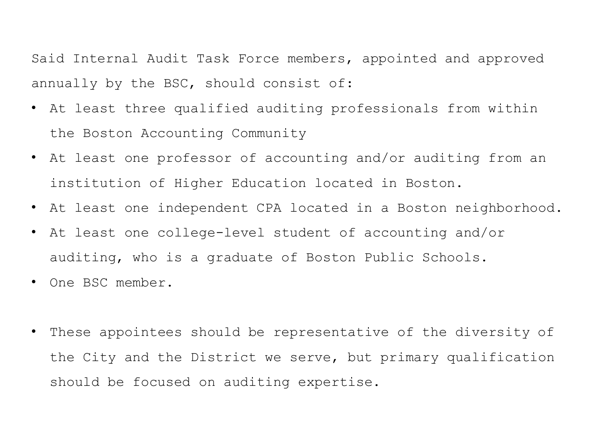Said Internal Audit Task Force members, appointed and approved annually by the BSC, should consist of:

- At least three qualified auditing professionals from within the Boston Accounting Community
- At least one professor of accounting and/or auditing from an institution of Higher Education located in Boston.
- At least one independent CPA located in a Boston neighborhood.
- At least one college-level student of accounting and/or auditing, who is a graduate of Boston Public Schools.
- One BSC member.
- These appointees should be representative of the diversity of the City and the District we serve, but primary qualification should be focused on auditing expertise.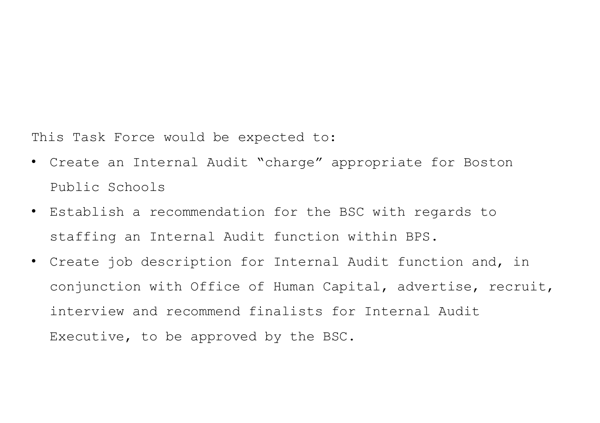This Task Force would be expected to:

- Create an Internal Audit "charge" appropriate for Boston Public Schools
- Establish a recommendation for the BSC with regards to staffing an Internal Audit function within BPS.
- Create job description for Internal Audit function and, in conjunction with Office of Human Capital, advertise, recruit, interview and recommend finalists for Internal Audit Executive, to be approved by the BSC.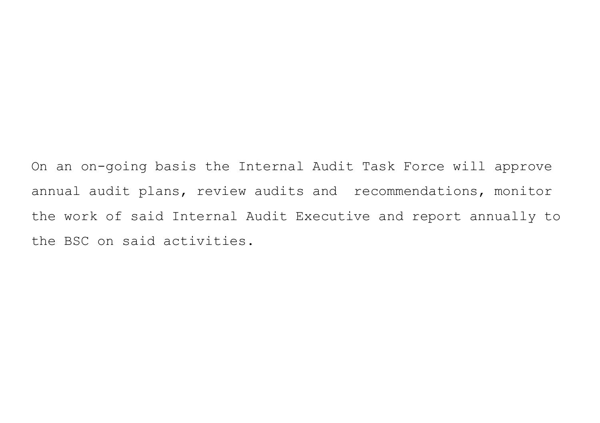On an on-going basis the Internal Audit Task Force will approve annual audit plans, review audits and recommendations, monitor the work of said Internal Audit Executive and report annually to the BSC on said activities.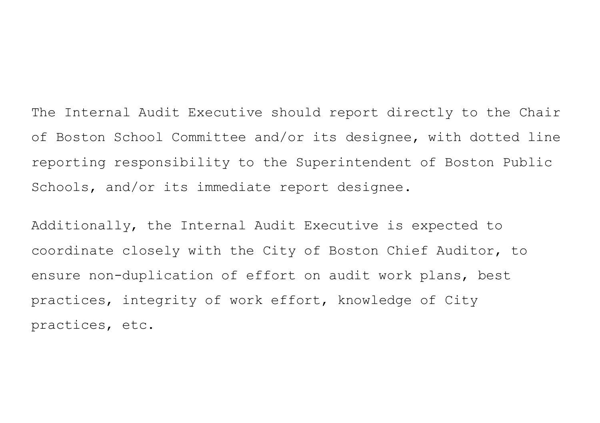The Internal Audit Executive should report directly to the Chair of Boston School Committee and/or its designee, with dotted line reporting responsibility to the Superintendent of Boston Public Schools, and/or its immediate report designee.

Additionally, the Internal Audit Executive is expected to coordinate closely with the City of Boston Chief Auditor, to ensure non-duplication of effort on audit work plans, best practices, integrity of work effort, knowledge of City practices, etc.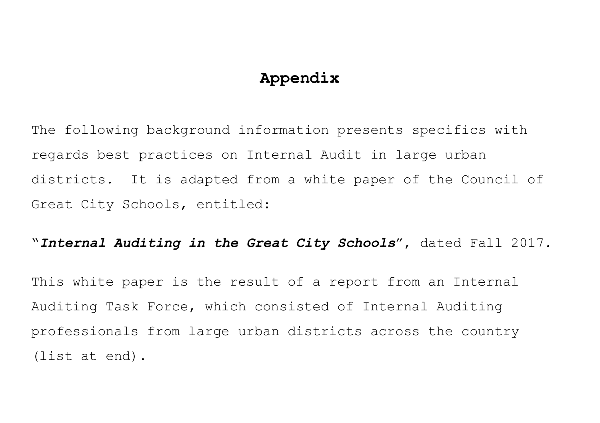## **Appendix**

The following background information presents specifics with regards best practices on Internal Audit in large urban districts. It is adapted from a white paper of the Council of Great City Schools, entitled:

"*Internal Auditing in the Great City Schools*", dated Fall 2017.

This white paper is the result of a report from an Internal Auditing Task Force, which consisted of Internal Auditing professionals from large urban districts across the country (list at end).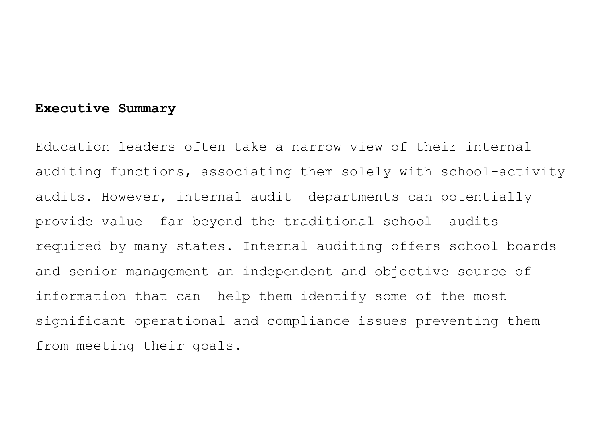## **Executive Summary**

Education leaders often take a narrow view of their internal auditing functions, associating them solely with school-activity audits. However, internal audit departments can potentially provide value far beyond the traditional school audits required by many states. Internal auditing offers school boards and senior management an independent and objective source of information that can help them identify some of the most significant operational and compliance issues preventing them from meeting their goals.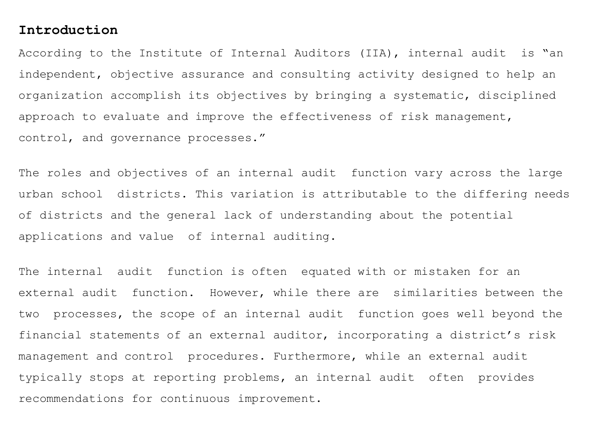#### **Introduction**

According to the Institute of Internal Auditors (IIA), internal audit is "an independent, objective assurance and consulting activity designed to help an organization accomplish its objectives by bringing a systematic, disciplined approach to evaluate and improve the effectiveness of risk management, control, and governance processes."

The roles and objectives of an internal audit function vary across the large urban school districts. This variation is attributable to the differing needs of districts and the general lack of understanding about the potential applications and value of internal auditing.

The internal audit function is often equated with or mistaken for an external audit function. However, while there are similarities between the two processes, the scope of an internal audit function goes well beyond the financial statements of an external auditor, incorporating a district's risk management and control procedures. Furthermore, while an external audit typically stops at reporting problems, an internal audit often provides recommendations for continuous improvement.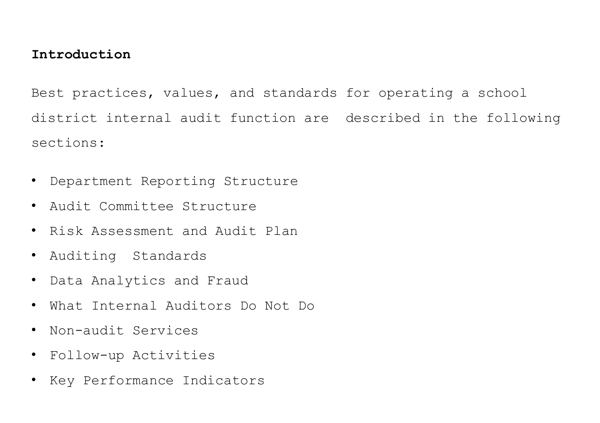## **Introduction**

Best practices, values, and standards for operating a school district internal audit function are described in the following sections:

- Department Reporting Structure
- Audit Committee Structure
- Risk Assessment and Audit Plan
- Auditing Standards
- Data Analytics and Fraud
- What Internal Auditors Do Not Do
- Non-audit Services
- Follow-up Activities
- Key Performance Indicators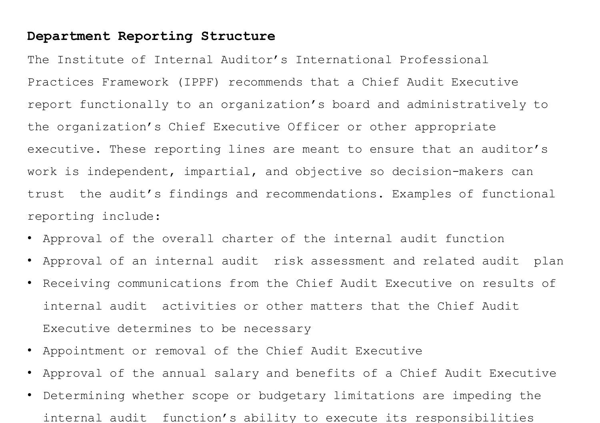## **Department Reporting Structure**

The Institute of Internal Auditor's International Professional Practices Framework (IPPF) recommends that a Chief Audit Executive report functionally to an organization's board and administratively to the organization's Chief Executive Officer or other appropriate executive. These reporting lines are meant to ensure that an auditor's work is independent, impartial, and objective so decision-makers can trust the audit's findings and recommendations. Examples of functional reporting include:

- Approval of the overall charter of the internal audit function
- Approval of an internal audit risk assessment and related audit plan
- Receiving communications from the Chief Audit Executive on results of internal audit activities or other matters that the Chief Audit Executive determines to be necessary
- Appointment or removal of the Chief Audit Executive
- Approval of the annual salary and benefits of a Chief Audit Executive
- Determining whether scope or budgetary limitations are impeding the internal audit function's ability to execute its responsibilities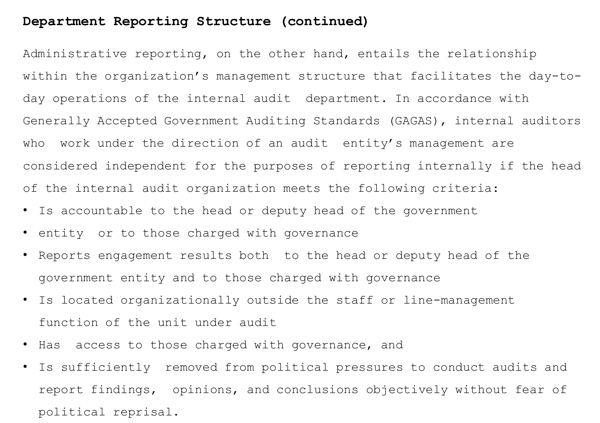## **Department Reporting Structure (continued)**

Administrative reporting, on the other hand, entails the relationship within the organization's management structure that facilitates the day-today operations of the internal audit department. In accordance with Generally Accepted Government Auditing Standards (GAGAS), internal auditors who work under the direction of an audit entity's management are considered independent for the purposes of reporting internally if the head of the internal audit organization meets the following criteria:

- Is accountable to the head or deputy head of the government
- entity or to those charged with governance
- Reports engagement results both to the head or deputy head of the government entity and to those charged with governance
- Is located organizationally outside the staff or line-management function of the unit under audit
- Has access to those charged with governance, and
- Is sufficiently removed from political pressures to conduct audits and report findings, opinions, and conclusions objectively without fear of political reprisal.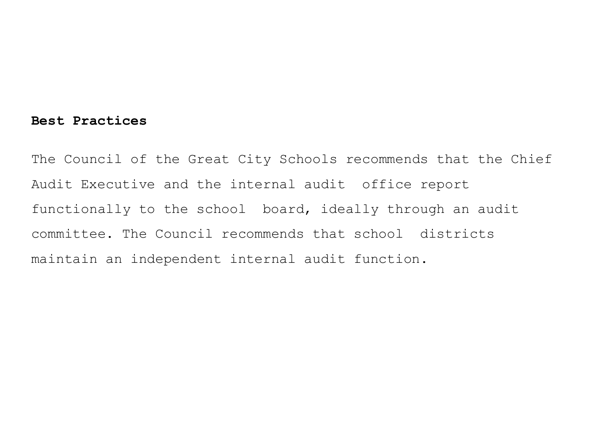#### **Best Practices**

The Council of the Great City Schools recommends that the Chief Audit Executive and the internal audit office report functionally to the school board, ideally through an audit committee. The Council recommends that school districts maintain an independent internal audit function.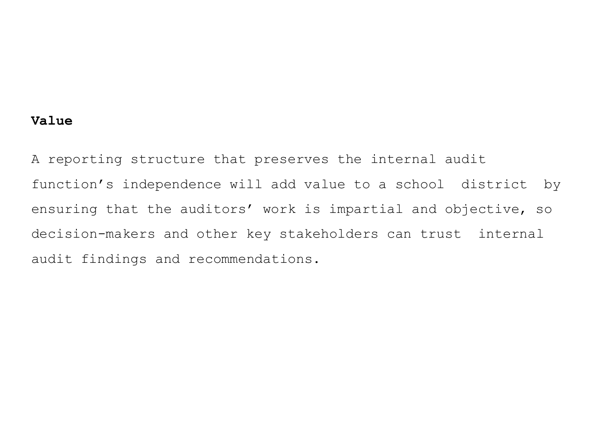## **Value**

A reporting structure that preserves the internal audit function's independence will add value to a school district by ensuring that the auditors' work is impartial and objective, so decision-makers and other key stakeholders can trust internal audit findings and recommendations.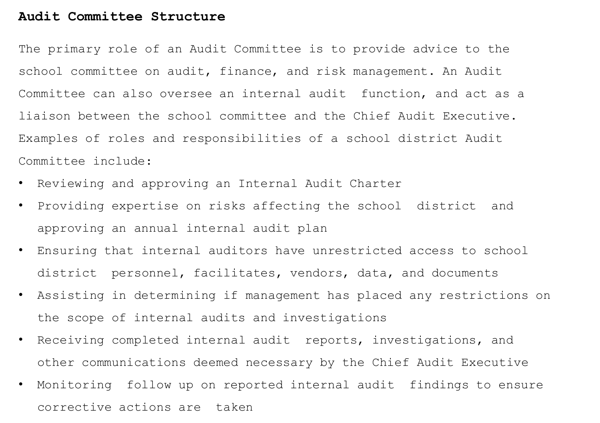## **Audit Committee Structure**

The primary role of an Audit Committee is to provide advice to the school committee on audit, finance, and risk management. An Audit Committee can also oversee an internal audit function, and act as a liaison between the school committee and the Chief Audit Executive. Examples of roles and responsibilities of a school district Audit Committee include:

- Reviewing and approving an Internal Audit Charter
- Providing expertise on risks affecting the school district and approving an annual internal audit plan
- Ensuring that internal auditors have unrestricted access to school district personnel, facilitates, vendors, data, and documents
- Assisting in determining if management has placed any restrictions on the scope of internal audits and investigations
- Receiving completed internal audit reports, investigations, and other communications deemed necessary by the Chief Audit Executive
- Monitoring follow up on reported internal audit findings to ensure corrective actions are taken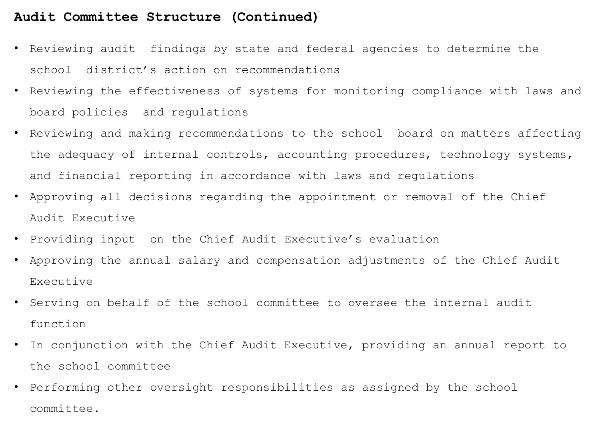## **Audit Committee Structure (Continued)**

- Reviewing audit findings by state and federal agencies to determine the school district's action on recommendations
- Reviewing the effectiveness of systems for monitoring compliance with laws and board policies and regulations
- Reviewing and making recommendations to the school board on matters affecting the adequacy of internal controls, accounting procedures, technology systems, and financial reporting in accordance with laws and regulations
- Approving all decisions regarding the appointment or removal of the Chief Audit Executive
- Providing input on the Chief Audit Executive's evaluation
- Approving the annual salary and compensation adjustments of the Chief Audit Executive
- Serving on behalf of the school committee to oversee the internal audit function
- In conjunction with the Chief Audit Executive, providing an annual report to the school committee
- Performing other oversight responsibilities as assigned by the school committee.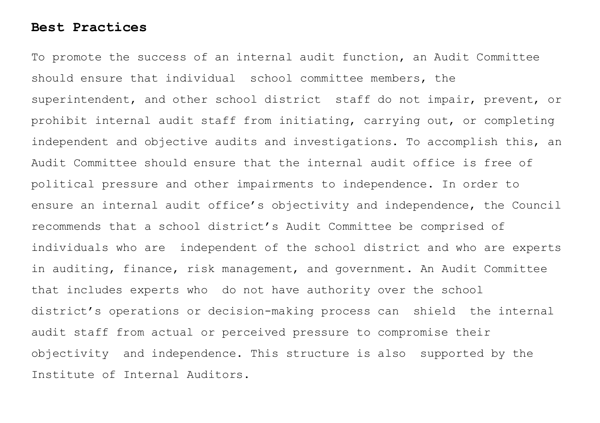## **Best Practices**

To promote the success of an internal audit function, an Audit Committee should ensure that individual school committee members, the superintendent, and other school district staff do not impair, prevent, or prohibit internal audit staff from initiating, carrying out, or completing independent and objective audits and investigations. To accomplish this, an Audit Committee should ensure that the internal audit office is free of political pressure and other impairments to independence. In order to ensure an internal audit office's objectivity and independence, the Council recommends that a school district's Audit Committee be comprised of individuals who are independent of the school district and who are experts in auditing, finance, risk management, and government. An Audit Committee that includes experts who do not have authority over the school district's operations or decision-making process can shield the internal audit staff from actual or perceived pressure to compromise their objectivity and independence. This structure is also supported by the Institute of Internal Auditors.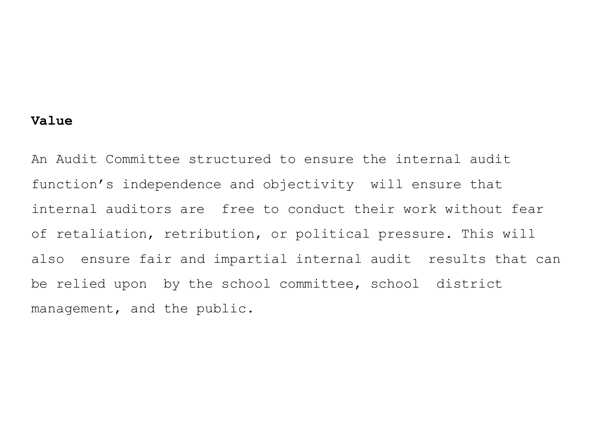## **Value**

An Audit Committee structured to ensure the internal audit function's independence and objectivity will ensure that internal auditors are free to conduct their work without fear of retaliation, retribution, or political pressure. This will also ensure fair and impartial internal audit results that can be relied upon by the school committee, school district management, and the public.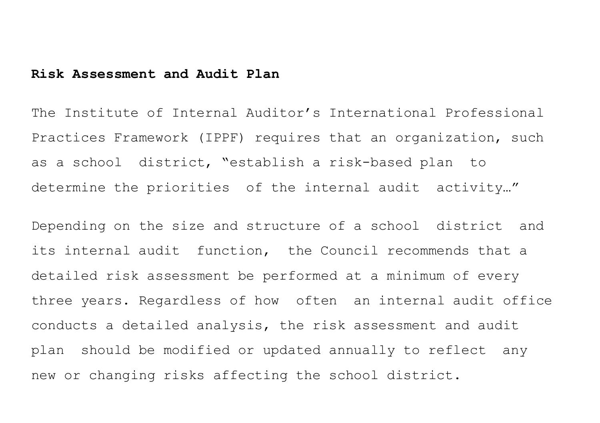#### **Risk Assessment and Audit Plan**

The Institute of Internal Auditor's International Professional Practices Framework (IPPF) requires that an organization, such as a school district, "establish a risk-based plan to determine the priorities of the internal audit activity…"

Depending on the size and structure of a school district and its internal audit function, the Council recommends that a detailed risk assessment be performed at a minimum of every three years. Regardless of how often an internal audit office conducts a detailed analysis, the risk assessment and audit plan should be modified or updated annually to reflect any new or changing risks affecting the school district.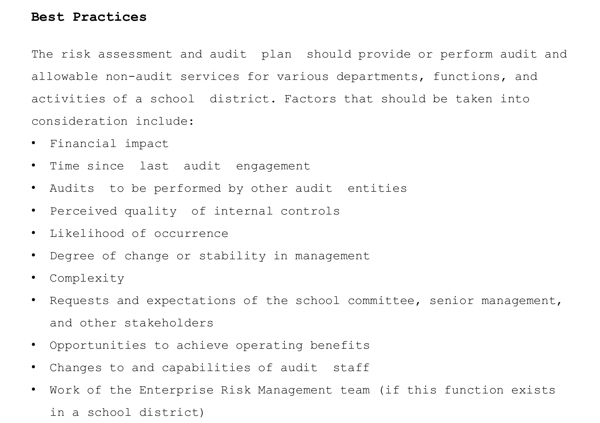## **Best Practices**

The risk assessment and audit plan should provide or perform audit and allowable non-audit services for various departments, functions, and activities of a school district. Factors that should be taken into consideration include:

- Financial impact
- Time since last audit engagement
- Audits to be performed by other audit entities
- Perceived quality of internal controls
- Likelihood of occurrence
- Degree of change or stability in management
- Complexity
- Requests and expectations of the school committee, senior management, and other stakeholders
- Opportunities to achieve operating benefits
- Changes to and capabilities of audit staff
- Work of the Enterprise Risk Management team (if this function exists in a school district)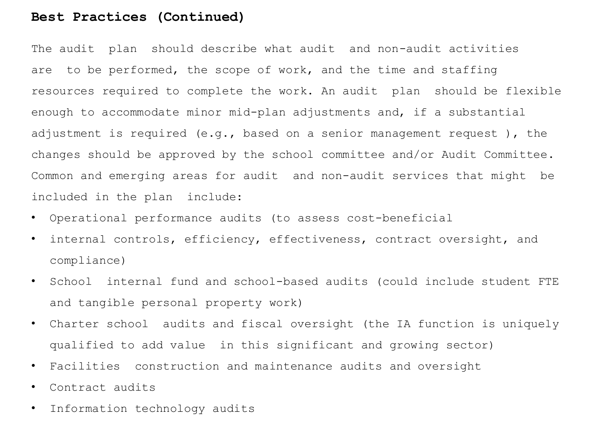#### **Best Practices (Continued)**

The audit plan should describe what audit and non-audit activities are to be performed, the scope of work, and the time and staffing resources required to complete the work. An audit plan should be flexible enough to accommodate minor mid-plan adjustments and, if a substantial adjustment is required (e.g., based on a senior management request ), the changes should be approved by the school committee and/or Audit Committee. Common and emerging areas for audit and non-audit services that might be included in the plan include:

- Operational performance audits (to assess cost-beneficial
- internal controls, efficiency, effectiveness, contract oversight, and compliance)
- School internal fund and school-based audits (could include student FTE and tangible personal property work)
- Charter school audits and fiscal oversight (the IA function is uniquely qualified to add value in this significant and growing sector)
- Facilities construction and maintenance audits and oversight
- Contract audits
- Information technology audits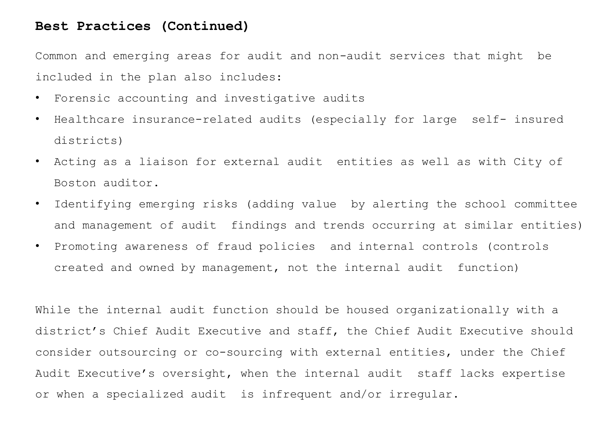## **Best Practices (Continued)**

Common and emerging areas for audit and non-audit services that might be included in the plan also includes:

- Forensic accounting and investigative audits
- Healthcare insurance-related audits (especially for large self- insured districts)
- Acting as a liaison for external audit entities as well as with City of Boston auditor.
- Identifying emerging risks (adding value by alerting the school committee and management of audit findings and trends occurring at similar entities)
- Promoting awareness of fraud policies and internal controls (controls created and owned by management, not the internal audit function)

While the internal audit function should be housed organizationally with a district's Chief Audit Executive and staff, the Chief Audit Executive should consider outsourcing or co-sourcing with external entities, under the Chief Audit Executive's oversight, when the internal audit staff lacks expertise or when a specialized audit is infrequent and/or irregular.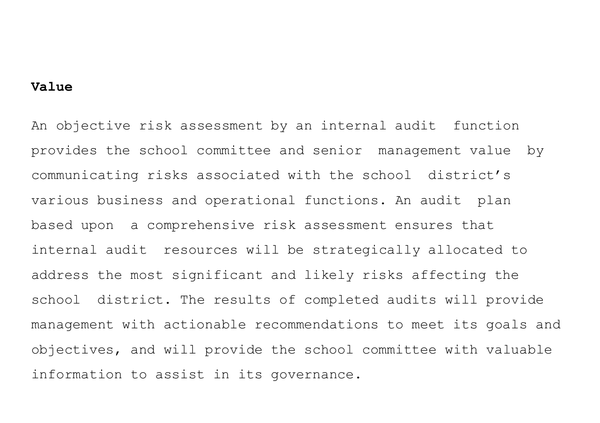#### **Value**

An objective risk assessment by an internal audit function provides the school committee and senior management value by communicating risks associated with the school district's various business and operational functions. An audit plan based upon a comprehensive risk assessment ensures that internal audit resources will be strategically allocated to address the most significant and likely risks affecting the school district. The results of completed audits will provide management with actionable recommendations to meet its goals and objectives, and will provide the school committee with valuable information to assist in its governance.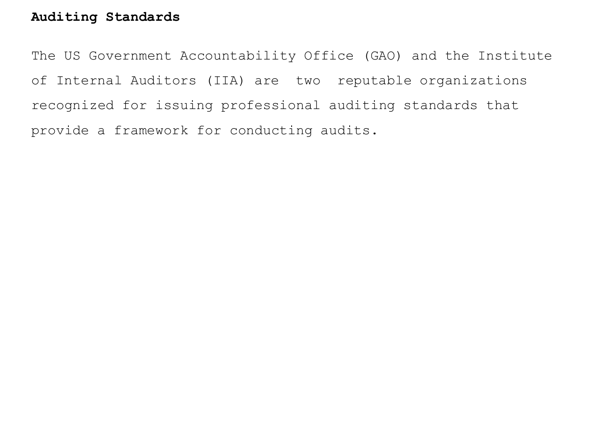## **Auditing Standards**

The US Government Accountability Office (GAO) and the Institute of Internal Auditors (IIA) are two reputable organizations recognized for issuing professional auditing standards that provide a framework for conducting audits.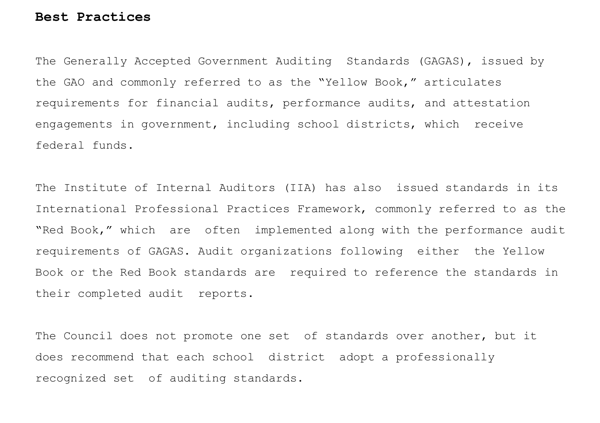#### **Best Practices**

The Generally Accepted Government Auditing Standards (GAGAS), issued by the GAO and commonly referred to as the "Yellow Book," articulates requirements for financial audits, performance audits, and attestation engagements in government, including school districts, which receive federal funds.

The Institute of Internal Auditors (IIA) has also issued standards in its International Professional Practices Framework, commonly referred to as the "Red Book," which are often implemented along with the performance audit requirements of GAGAS. Audit organizations following either the Yellow Book or the Red Book standards are required to reference the standards in their completed audit reports.

The Council does not promote one set of standards over another, but it does recommend that each school district adopt a professionally recognized set of auditing standards.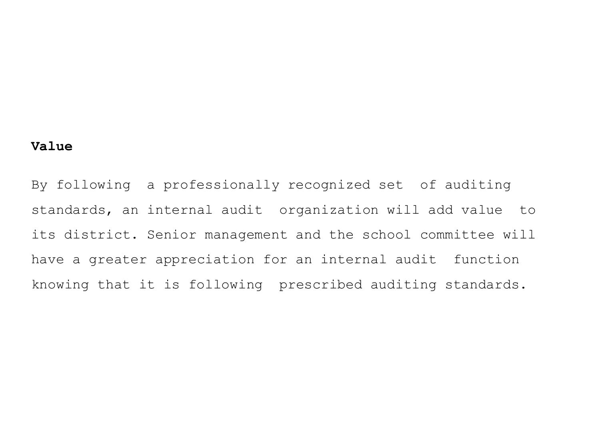## **Value**

By following a professionally recognized set of auditing standards, an internal audit organization will add value to its district. Senior management and the school committee will have a greater appreciation for an internal audit function knowing that it is following prescribed auditing standards.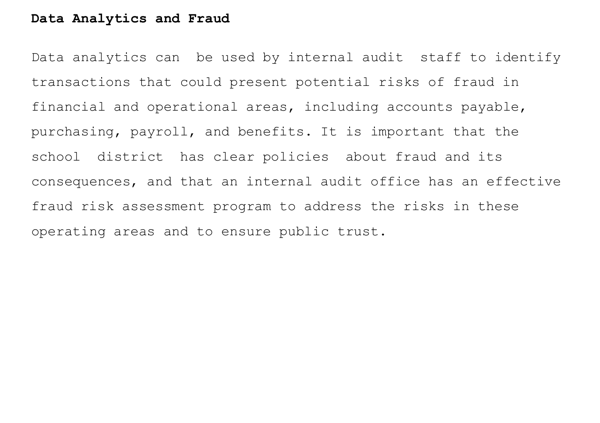## **Data Analytics and Fraud**

Data analytics can be used by internal audit staff to identify transactions that could present potential risks of fraud in financial and operational areas, including accounts payable, purchasing, payroll, and benefits. It is important that the school district has clear policies about fraud and its consequences, and that an internal audit office has an effective fraud risk assessment program to address the risks in these operating areas and to ensure public trust.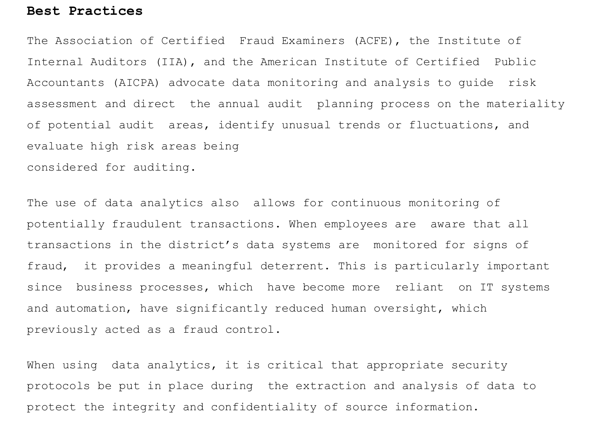#### **Best Practices**

The Association of Certified Fraud Examiners (ACFE), the Institute of Internal Auditors (IIA), and the American Institute of Certified Public Accountants (AICPA) advocate data monitoring and analysis to guide risk assessment and direct the annual audit planning process on the materiality of potential audit areas, identify unusual trends or fluctuations, and evaluate high risk areas being considered for auditing.

The use of data analytics also allows for continuous monitoring of potentially fraudulent transactions. When employees are aware that all transactions in the district's data systems are monitored for signs of fraud, it provides a meaningful deterrent. This is particularly important since business processes, which have become more reliant on IT systems and automation, have significantly reduced human oversight, which previously acted as a fraud control.

When using data analytics, it is critical that appropriate security protocols be put in place during the extraction and analysis of data to protect the integrity and confidentiality of source information.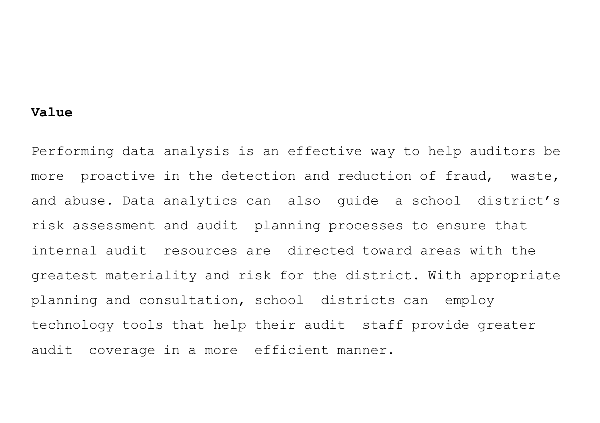#### **Value**

Performing data analysis is an effective way to help auditors be more proactive in the detection and reduction of fraud, waste, and abuse. Data analytics can also guide a school district's risk assessment and audit planning processes to ensure that internal audit resources are directed toward areas with the greatest materiality and risk for the district. With appropriate planning and consultation, school districts can employ technology tools that help their audit staff provide greater audit coverage in a more efficient manner.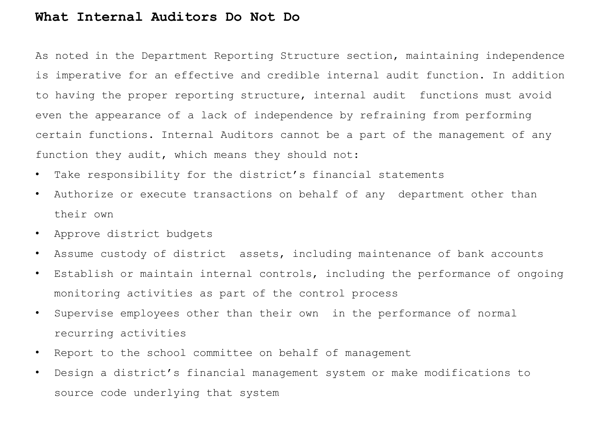#### **What Internal Auditors Do Not Do**

As noted in the Department Reporting Structure section, maintaining independence is imperative for an effective and credible internal audit function. In addition to having the proper reporting structure, internal audit functions must avoid even the appearance of a lack of independence by refraining from performing certain functions. Internal Auditors cannot be a part of the management of any function they audit, which means they should not:

- Take responsibility for the district's financial statements
- Authorize or execute transactions on behalf of any department other than their own
- Approve district budgets
- Assume custody of district assets, including maintenance of bank accounts
- Establish or maintain internal controls, including the performance of ongoing monitoring activities as part of the control process
- Supervise employees other than their own in the performance of normal recurring activities
- Report to the school committee on behalf of management
- Design a district's financial management system or make modifications to source code underlying that system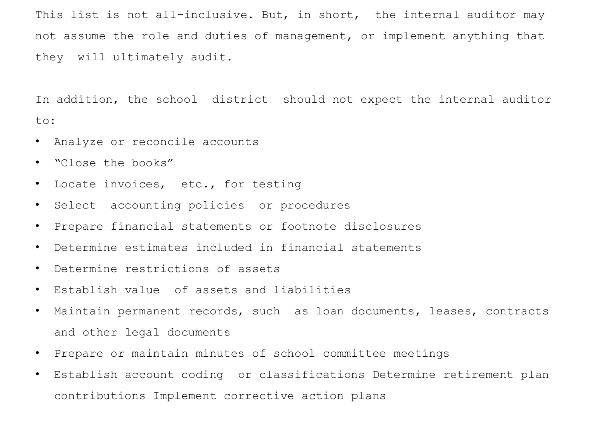This list is not all-inclusive. But, in short, the internal auditor may not assume the role and duties of management, or implement anything that they will ultimately audit.

In addition, the school district should not expect the internal auditor to:

- Analyze or reconcile accounts
- "Close the books"
- Locate invoices, etc., for testing
- Select accounting policies or procedures
- Prepare financial statements or footnote disclosures
- Determine estimates included in financial statements
- Determine restrictions of assets
- Establish value of assets and liabilities
- Maintain permanent records, such as loan documents, leases, contracts and other legal documents
- Prepare or maintain minutes of school committee meetings
- Establish account coding or classifications Determine retirement plan contributions Implement corrective action plans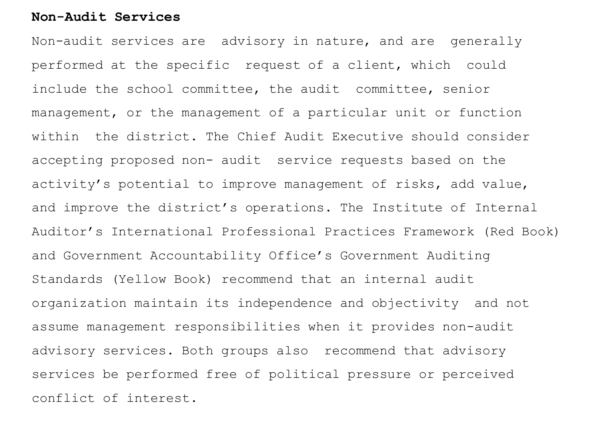## **Non-Audit Services**

Non-audit services are advisory in nature, and are generally performed at the specific request of a client, which could include the school committee, the audit committee, senior management, or the management of a particular unit or function within the district. The Chief Audit Executive should consider accepting proposed non- audit service requests based on the activity's potential to improve management of risks, add value, and improve the district's operations. The Institute of Internal Auditor's International Professional Practices Framework (Red Book) and Government Accountability Office's Government Auditing Standards (Yellow Book) recommend that an internal audit organization maintain its independence and objectivity and not assume management responsibilities when it provides non-audit advisory services. Both groups also recommend that advisory services be performed free of political pressure or perceived conflict of interest.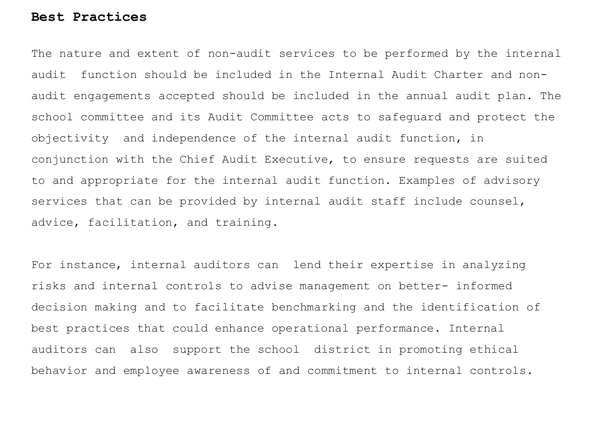#### **Best Practices**

The nature and extent of non-audit services to be performed by the internal audit function should be included in the Internal Audit Charter and nonaudit engagements accepted should be included in the annual audit plan. The school committee and its Audit Committee acts to safeguard and protect the objectivity and independence of the internal audit function, in conjunction with the Chief Audit Executive, to ensure requests are suited to and appropriate for the internal audit function. Examples of advisory services that can be provided by internal audit staff include counsel, advice, facilitation, and training.

For instance, internal auditors can lend their expertise in analyzing risks and internal controls to advise management on better- informed decision making and to facilitate benchmarking and the identification of best practices that could enhance operational performance. Internal auditors can also support the school district in promoting ethical behavior and employee awareness of and commitment to internal controls.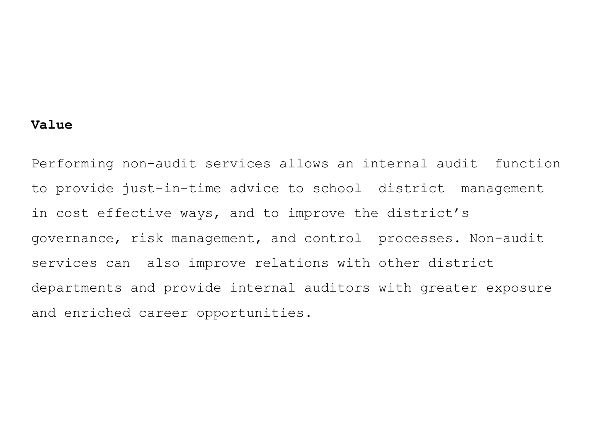## **Value**

Performing non-audit services allows an internal audit function to provide just-in-time advice to school district management in cost effective ways, and to improve the district's governance, risk management, and control processes. Non-audit services can also improve relations with other district departments and provide internal auditors with greater exposure and enriched career opportunities.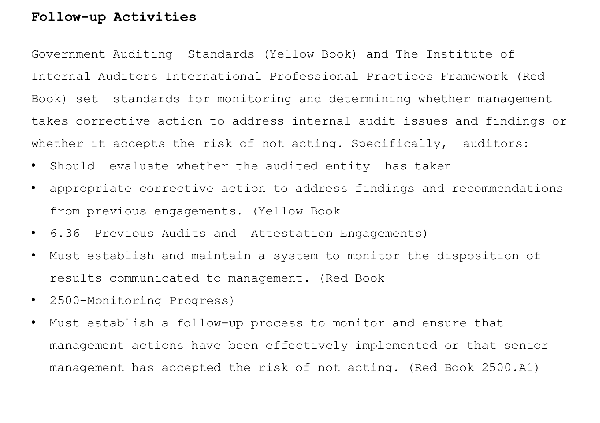## **Follow-up Activities**

Government Auditing Standards (Yellow Book) and The Institute of Internal Auditors International Professional Practices Framework (Red Book) set standards for monitoring and determining whether management takes corrective action to address internal audit issues and findings or whether it accepts the risk of not acting. Specifically, auditors:

- Should evaluate whether the audited entity has taken
- appropriate corrective action to address findings and recommendations from previous engagements. (Yellow Book
- 6.36 Previous Audits and Attestation Engagements)
- Must establish and maintain a system to monitor the disposition of results communicated to management. (Red Book
- 2500-Monitoring Progress)
- Must establish a follow-up process to monitor and ensure that management actions have been effectively implemented or that senior management has accepted the risk of not acting. (Red Book 2500.A1)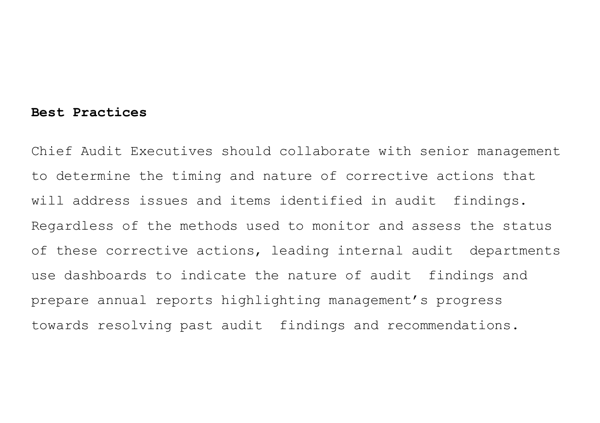#### **Best Practices**

Chief Audit Executives should collaborate with senior management to determine the timing and nature of corrective actions that will address issues and items identified in audit findings. Regardless of the methods used to monitor and assess the status of these corrective actions, leading internal audit departments use dashboards to indicate the nature of audit findings and prepare annual reports highlighting management's progress towards resolving past audit findings and recommendations.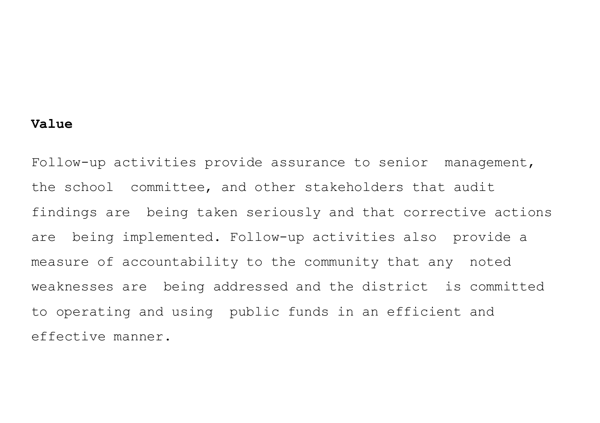## **Value**

Follow-up activities provide assurance to senior management, the school committee, and other stakeholders that audit findings are being taken seriously and that corrective actions are being implemented. Follow-up activities also provide a measure of accountability to the community that any noted weaknesses are being addressed and the district is committed to operating and using public funds in an efficient and effective manner.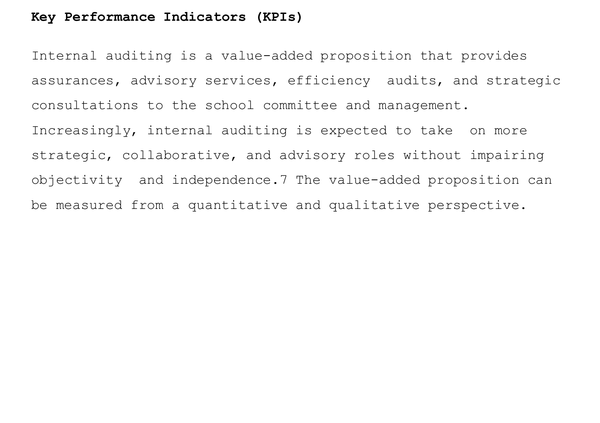## **Key Performance Indicators (KPIs)**

Internal auditing is a value-added proposition that provides assurances, advisory services, efficiency audits, and strategic consultations to the school committee and management. Increasingly, internal auditing is expected to take on more strategic, collaborative, and advisory roles without impairing objectivity and independence.7 The value-added proposition can be measured from a quantitative and qualitative perspective.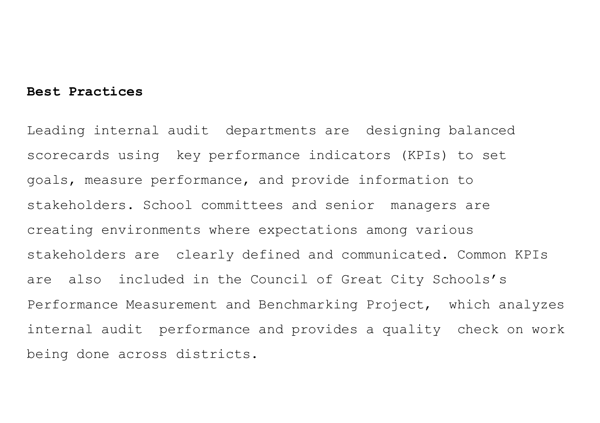## **Best Practices**

Leading internal audit departments are designing balanced scorecards using key performance indicators (KPIs) to set goals, measure performance, and provide information to stakeholders. School committees and senior managers are creating environments where expectations among various stakeholders are clearly defined and communicated. Common KPIs are also included in the Council of Great City Schools's Performance Measurement and Benchmarking Project, which analyzes internal audit performance and provides a quality check on work being done across districts.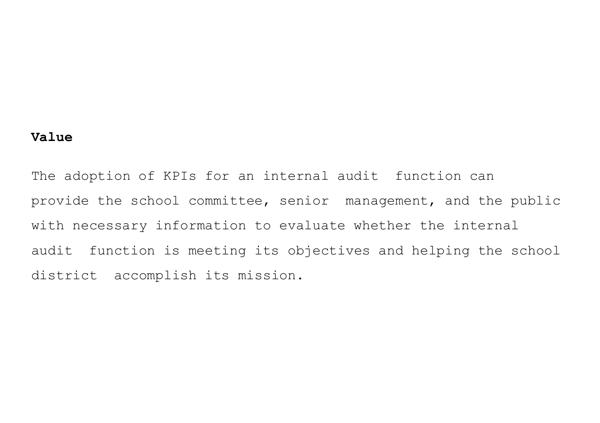## **Value**

The adoption of KPIs for an internal audit function can provide the school committee, senior management, and the public with necessary information to evaluate whether the internal audit function is meeting its objectives and helping the school district accomplish its mission.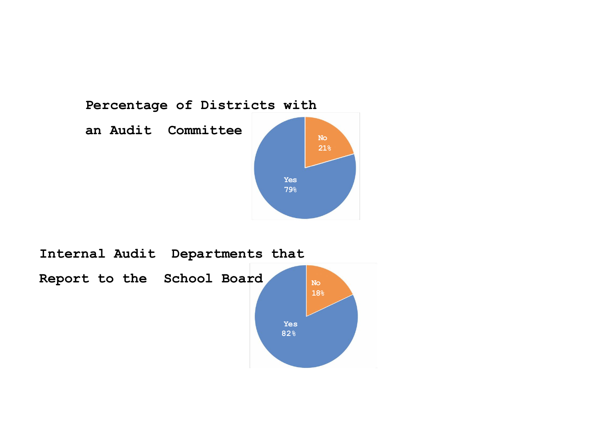